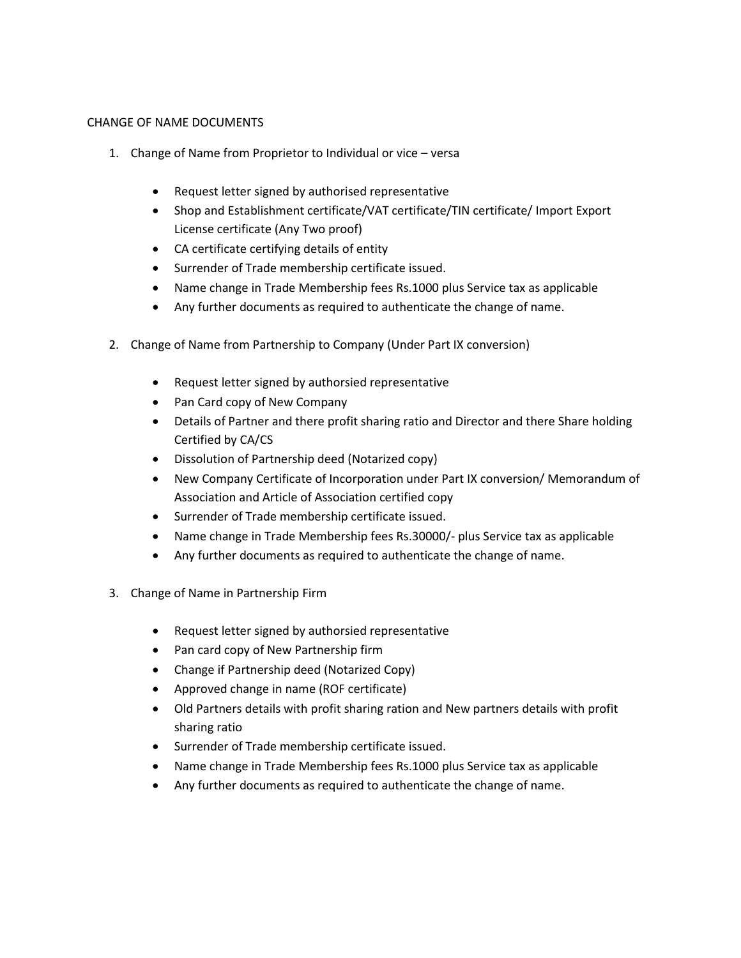## CHANGE OF NAME DOCUMENTS

- 1. Change of Name from Proprietor to Individual or vice versa
	- Request letter signed by authorised representative
	- Shop and Establishment certificate/VAT certificate/TIN certificate/ Import Export License certificate (Any Two proof)
	- CA certificate certifying details of entity
	- Surrender of Trade membership certificate issued.
	- Name change in Trade Membership fees Rs.1000 plus Service tax as applicable
	- Any further documents as required to authenticate the change of name.
- 2. Change of Name from Partnership to Company (Under Part IX conversion)
	- Request letter signed by authorsied representative
	- Pan Card copy of New Company
	- Details of Partner and there profit sharing ratio and Director and there Share holding Certified by CA/CS
	- Dissolution of Partnership deed (Notarized copy)
	- New Company Certificate of Incorporation under Part IX conversion/ Memorandum of Association and Article of Association certified copy
	- Surrender of Trade membership certificate issued.
	- Name change in Trade Membership fees Rs.30000/- plus Service tax as applicable
	- Any further documents as required to authenticate the change of name.
- 3. Change of Name in Partnership Firm
	- Request letter signed by authorsied representative
	- Pan card copy of New Partnership firm
	- Change if Partnership deed (Notarized Copy)
	- Approved change in name (ROF certificate)
	- Old Partners details with profit sharing ration and New partners details with profit sharing ratio
	- Surrender of Trade membership certificate issued.
	- Name change in Trade Membership fees Rs.1000 plus Service tax as applicable
	- Any further documents as required to authenticate the change of name.